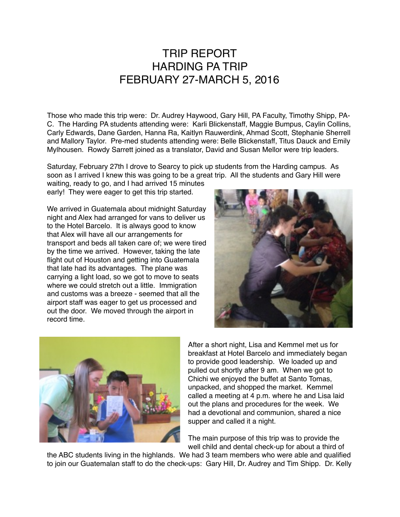## TRIP REPORT HARDING PA TRIP FEBRUARY 27-MARCH 5, 2016

Those who made this trip were: Dr. Audrey Haywood, Gary Hill, PA Faculty, Timothy Shipp, PA-C. The Harding PA students attending were: Karli Blickenstaff, Maggie Bumpus, Caylin Collins, Carly Edwards, Dane Garden, Hanna Ra, Kaitlyn Rauwerdink, Ahmad Scott, Stephanie Sherrell and Mallory Taylor. Pre-med students attending were: Belle Blickenstaff, Titus Dauck and Emily Mylhousen. Rowdy Sarrett joined as a translator, David and Susan Mellor were trip leaders.

Saturday, February 27th I drove to Searcy to pick up students from the Harding campus. As soon as I arrived I knew this was going to be a great trip. All the students and Gary Hill were

waiting, ready to go, and I had arrived 15 minutes early! They were eager to get this trip started.

We arrived in Guatemala about midnight Saturday night and Alex had arranged for vans to deliver us to the Hotel Barcelo. It is always good to know that Alex will have all our arrangements for transport and beds all taken care of; we were tired by the time we arrived. However, taking the late flight out of Houston and getting into Guatemala that late had its advantages. The plane was carrying a light load, so we got to move to seats where we could stretch out a little. Immigration and customs was a breeze - seemed that all the airport staff was eager to get us processed and out the door. We moved through the airport in record time.





After a short night, Lisa and Kemmel met us for breakfast at Hotel Barcelo and immediately began to provide good leadership. We loaded up and pulled out shortly after 9 am. When we got to Chichi we enjoyed the buffet at Santo Tomas, unpacked, and shopped the market. Kemmel called a meeting at 4 p.m. where he and Lisa laid out the plans and procedures for the week. We had a devotional and communion, shared a nice supper and called it a night.

The main purpose of this trip was to provide the well child and dental check-up for about a third of

the ABC students living in the highlands. We had 3 team members who were able and qualified to join our Guatemalan staff to do the check-ups: Gary Hill, Dr. Audrey and Tim Shipp. Dr. Kelly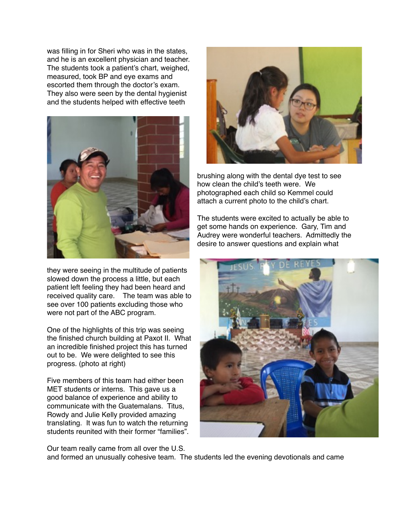was filling in for Sheri who was in the states, and he is an excellent physician and teacher. The students took a patient's chart, weighed, measured, took BP and eye exams and escorted them through the doctor's exam. They also were seen by the dental hygienist and the students helped with effective teeth



they were seeing in the multitude of patients slowed down the process a little, but each patient left feeling they had been heard and received quality care. The team was able to see over 100 patients excluding those who were not part of the ABC program.

One of the highlights of this trip was seeing the finished church building at Paxot II. What an incredible finished project this has turned out to be. We were delighted to see this progress. (photo at right)

Five members of this team had either been MET students or interns. This gave us a good balance of experience and ability to communicate with the Guatemalans. Titus, Rowdy and Julie Kelly provided amazing translating. It was fun to watch the returning students reunited with their former "families".

Our team really came from all over the U.S.



brushing along with the dental dye test to see how clean the child's teeth were. We photographed each child so Kemmel could attach a current photo to the child's chart.

The students were excited to actually be able to get some hands on experience. Gary, Tim and Audrey were wonderful teachers. Admittedly the desire to answer questions and explain what



and formed an unusually cohesive team. The students led the evening devotionals and came